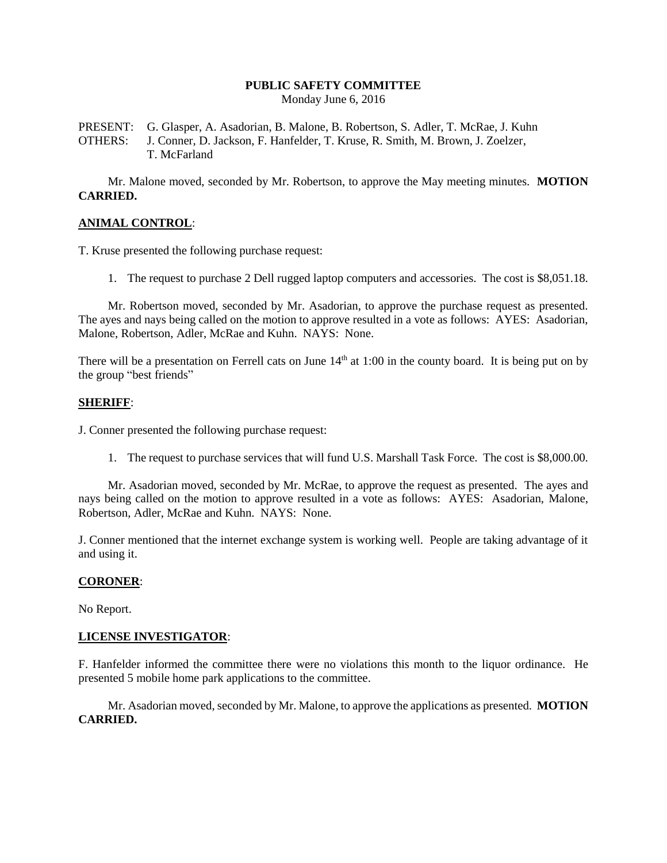# **PUBLIC SAFETY COMMITTEE**

Monday June 6, 2016

PRESENT: G. Glasper, A. Asadorian, B. Malone, B. Robertson, S. Adler, T. McRae, J. Kuhn OTHERS: J. Conner, D. Jackson, F. Hanfelder, T. Kruse, R. Smith, M. Brown, J. Zoelzer, T. McFarland

Mr. Malone moved, seconded by Mr. Robertson, to approve the May meeting minutes. **MOTION CARRIED.**

## **ANIMAL CONTROL**:

T. Kruse presented the following purchase request:

1. The request to purchase 2 Dell rugged laptop computers and accessories. The cost is \$8,051.18.

Mr. Robertson moved, seconded by Mr. Asadorian, to approve the purchase request as presented. The ayes and nays being called on the motion to approve resulted in a vote as follows: AYES: Asadorian, Malone, Robertson, Adler, McRae and Kuhn. NAYS: None.

There will be a presentation on Ferrell cats on June  $14<sup>th</sup>$  at 1:00 in the county board. It is being put on by the group "best friends"

#### **SHERIFF**:

J. Conner presented the following purchase request:

1. The request to purchase services that will fund U.S. Marshall Task Force. The cost is \$8,000.00.

Mr. Asadorian moved, seconded by Mr. McRae, to approve the request as presented. The ayes and nays being called on the motion to approve resulted in a vote as follows: AYES: Asadorian, Malone, Robertson, Adler, McRae and Kuhn. NAYS: None.

J. Conner mentioned that the internet exchange system is working well. People are taking advantage of it and using it.

#### **CORONER**:

No Report.

## **LICENSE INVESTIGATOR**:

F. Hanfelder informed the committee there were no violations this month to the liquor ordinance. He presented 5 mobile home park applications to the committee.

Mr. Asadorian moved, seconded by Mr. Malone, to approve the applications as presented. **MOTION CARRIED.**